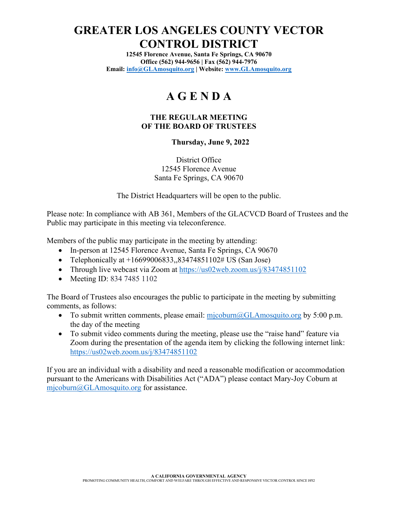# **GREATER LOS ANGELES COUNTY VECTOR CONTROL DISTRICT**

**12545 Florence Avenue, Santa Fe Springs, CA 90670 Office (562) 944-9656 | Fax (562) 944-7976 Email: [info@GLAmosquito.org](mailto:info@GLAmosquito.org) | Website: [www.GLAmosquito.org](http://www.glamosquito.org/)**

# **A G E N D A**

#### **THE REGULAR MEETING OF THE BOARD OF TRUSTEES**

#### **Thursday, June 9, 2022**

District Office 12545 Florence Avenue Santa Fe Springs, CA 90670

The District Headquarters will be open to the public.

Please note: In compliance with AB 361, Members of the GLACVCD Board of Trustees and the Public may participate in this meeting via teleconference.

Members of the public may participate in the meeting by attending:

- In-person at 12545 Florence Avenue, Santa Fe Springs, CA 90670
- Telephonically at  $+16699006833,83474851102\#$  US (San Jose)
- Through live webcast via Zoom at<https://us02web.zoom.us/j/83474851102>
- Meeting ID: 834 7485 1102

The Board of Trustees also encourages the public to participate in the meeting by submitting comments, as follows:

- To submit written comments, please email:  $mj \text{ column}$   $\text{QGLAmosquito.org}$  by 5:00 p.m. the day of the meeting
- To submit video comments during the meeting, please use the "raise hand" feature via Zoom during the presentation of the agenda item by clicking the following internet link: <https://us02web.zoom.us/j/83474851102>

If you are an individual with a disability and need a reasonable modification or accommodation pursuant to the Americans with Disabilities Act ("ADA") please contact Mary-Joy Coburn at [mjcoburn@GLAmosquito.org](mailto:mjcoburn@GLAmosquito.org) for assistance.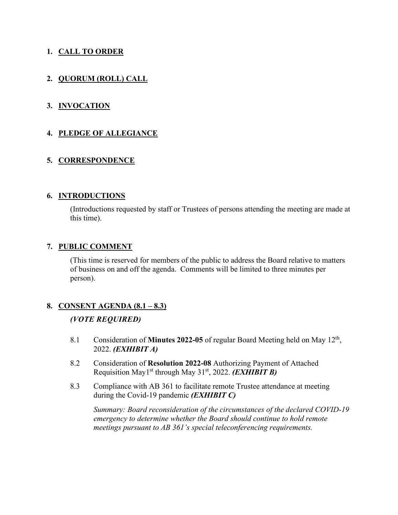# **1. CALL TO ORDER**

# **2. QUORUM (ROLL) CALL**

## **3. INVOCATION**

### **4. PLEDGE OF ALLEGIANCE**

## **5. CORRESPONDENCE**

#### **6. INTRODUCTIONS**

(Introductions requested by staff or Trustees of persons attending the meeting are made at this time).

#### **7. PUBLIC COMMENT**

(This time is reserved for members of the public to address the Board relative to matters of business on and off the agenda. Comments will be limited to three minutes per person).

### **8. CONSENT AGENDA (8.1 – 8.3)**

### *(VOTE REQUIRED)*

- 8.1 Consideration of **Minutes 2022-05** of regular Board Meeting held on May 12<sup>th</sup>, 2022. *(EXHIBIT A)*
- 8.2 Consideration of **Resolution 2022-08** Authorizing Payment of Attached Requisition May1st through May 31st, 2022. *(EXHIBIT B)*
- 8.3 Compliance with AB 361 to facilitate remote Trustee attendance at meeting during the Covid-19 pandemic *(EXHIBIT C)*

*Summary: Board reconsideration of the circumstances of the declared COVID-19 emergency to determine whether the Board should continue to hold remote meetings pursuant to AB 361's special teleconferencing requirements.*